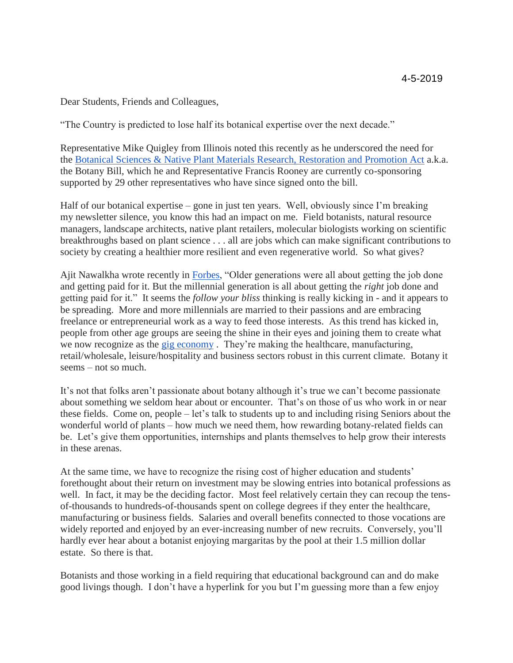Dear Students, Friends and Colleagues,

"The Country is predicted to lose half its botanical expertise over the next decade."

Representative Mike Quigley from Illinois noted this recently as he underscored the need for the [Botanical Sciences & Native Plant Materials Research, Restoration and Promotion Act](https://botanybill.weebly.com/) a.k.a. the Botany Bill, which he and Representative Francis Rooney are currently co-sponsoring supported by 29 other representatives who have since signed onto the bill.

Half of our botanical expertise – gone in just ten years. Well, obviously since I'm breaking my newsletter silence, you know this had an impact on me. Field botanists, natural resource managers, landscape architects, native plant retailers, molecular biologists working on scientific breakthroughs based on plant science . . . all are jobs which can make significant contributions to society by creating a healthier more resilient and even regenerative world. So what gives?

Ajit Nawalkha wrote recently in [Forbes,](https://www.forbes.com/sites/forbescoachescouncil/2018/11/08/the-rise-of-the-millennial-and-why-theyre-changing-work-for-the-better/#1a23e4f45e12) "Older generations were all about getting the job done and getting paid for it. But the millennial generation is all about getting the *right* job done and getting paid for it." It seems the *follow your bliss* thinking is really kicking in - and it appears to be spreading. More and more millennials are married to their passions and are embracing freelance or entrepreneurial work as a way to feed those interests. As this trend has kicked in, people from other age groups are seeing the shine in their eyes and joining them to create what we now recognize as the [gig economy](https://whatis.techtarget.com/definition/gig-economy) . They're making the healthcare, manufacturing, retail/wholesale, leisure/hospitality and business sectors robust in this current climate. Botany it seems – not so much.

It's not that folks aren't passionate about botany although it's true we can't become passionate about something we seldom hear about or encounter. That's on those of us who work in or near these fields. Come on, people – let's talk to students up to and including rising Seniors about the wonderful world of plants – how much we need them, how rewarding botany-related fields can be. Let's give them opportunities, internships and plants themselves to help grow their interests in these arenas.

At the same time, we have to recognize the rising cost of higher education and students' forethought about their return on investment may be slowing entries into botanical professions as well. In fact, it may be the deciding factor. Most feel relatively certain they can recoup the tensof-thousands to hundreds-of-thousands spent on college degrees if they enter the healthcare, manufacturing or business fields. Salaries and overall benefits connected to those vocations are widely reported and enjoyed by an ever-increasing number of new recruits. Conversely, you'll hardly ever hear about a botanist enjoying margaritas by the pool at their 1.5 million dollar estate. So there is that.

Botanists and those working in a field requiring that educational background can and do make good livings though. I don't have a hyperlink for you but I'm guessing more than a few enjoy